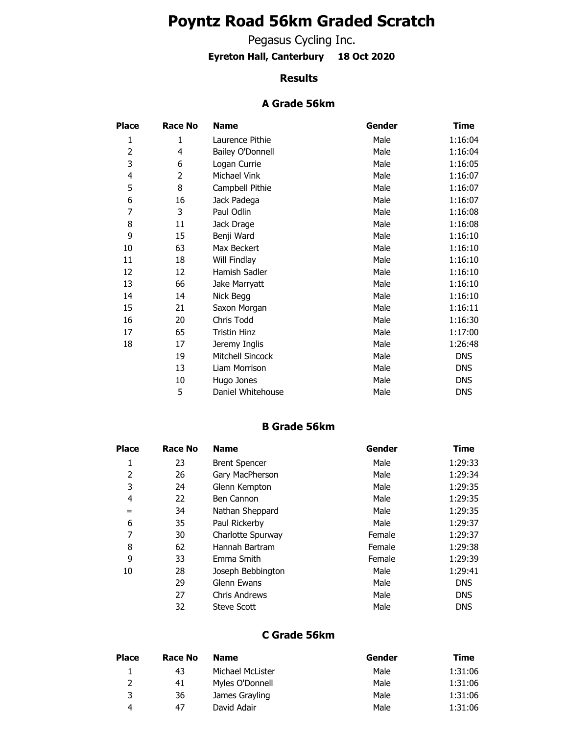# **Poyntz Road 56km Graded Scratch**

Pegasus Cycling Inc.

**Eyreton Hall, Canterbury 18 Oct 2020**

#### **Results**

### **A Grade 56km**

| Place          | <b>Race No</b> | <b>Name</b>             | Gender | Time       |
|----------------|----------------|-------------------------|--------|------------|
| 1              | 1              | Laurence Pithie         | Male   | 1:16:04    |
| $\overline{2}$ | 4              | <b>Bailey O'Donnell</b> | Male   | 1:16:04    |
| 3              | 6              | Logan Currie            | Male   | 1:16:05    |
| 4              | 2              | Michael Vink            | Male   | 1:16:07    |
| 5              | 8              | Campbell Pithie         | Male   | 1:16:07    |
| 6              | 16             | Jack Padega             | Male   | 1:16:07    |
| 7              | 3              | Paul Odlin              | Male   | 1:16:08    |
| 8              | 11             | Jack Drage              | Male   | 1:16:08    |
| 9              | 15             | Benji Ward              | Male   | 1:16:10    |
| 10             | 63             | Max Beckert             | Male   | 1:16:10    |
| 11             | 18             | Will Findlay            | Male   | 1:16:10    |
| 12             | 12             | Hamish Sadler           | Male   | 1:16:10    |
| 13             | 66             | Jake Marryatt           | Male   | 1:16:10    |
| 14             | 14             | Nick Begg               | Male   | 1:16:10    |
| 15             | 21             | Saxon Morgan            | Male   | 1:16:11    |
| 16             | 20             | Chris Todd              | Male   | 1:16:30    |
| 17             | 65             | Tristin Hinz            | Male   | 1:17:00    |
| 18             | 17             | Jeremy Inglis           | Male   | 1:26:48    |
|                | 19             | Mitchell Sincock        | Male   | <b>DNS</b> |
|                | 13             | Liam Morrison           | Male   | <b>DNS</b> |
|                | 10             | Hugo Jones              | Male   | <b>DNS</b> |
|                | 5              | Daniel Whitehouse       | Male   | <b>DNS</b> |

### **B Grade 56km**

| Place | <b>Race No</b> | <b>Name</b>          | Gender | <b>Time</b> |
|-------|----------------|----------------------|--------|-------------|
| 1     | 23             | <b>Brent Spencer</b> | Male   | 1:29:33     |
| 2     | 26             | Gary MacPherson      | Male   | 1:29:34     |
| 3     | 24             | Glenn Kempton        | Male   | 1:29:35     |
| 4     | 22             | Ben Cannon           | Male   | 1:29:35     |
| $=$   | 34             | Nathan Sheppard      | Male   | 1:29:35     |
| 6     | 35             | Paul Rickerby        | Male   | 1:29:37     |
| 7     | 30             | Charlotte Spurway    | Female | 1:29:37     |
| 8     | 62             | Hannah Bartram       | Female | 1:29:38     |
| 9     | 33             | Emma Smith           | Female | 1:29:39     |
| 10    | 28             | Joseph Bebbington    | Male   | 1:29:41     |
|       | 29             | Glenn Ewans          | Male   | <b>DNS</b>  |
|       | 27             | <b>Chris Andrews</b> | Male   | <b>DNS</b>  |
|       | 32             | <b>Steve Scott</b>   | Male   | <b>DNS</b>  |
|       |                |                      |        |             |

#### **C Grade 56km**

| Place | Race No | <b>Name</b>      | Gender | Time    |
|-------|---------|------------------|--------|---------|
|       | 43      | Michael McLister | Male   | 1:31:06 |
|       | 41      | Myles O'Donnell  | Male   | 1:31:06 |
| 3     | 36      | James Grayling   | Male   | 1:31:06 |
| 4     | 47      | David Adair      | Male   | 1:31:06 |